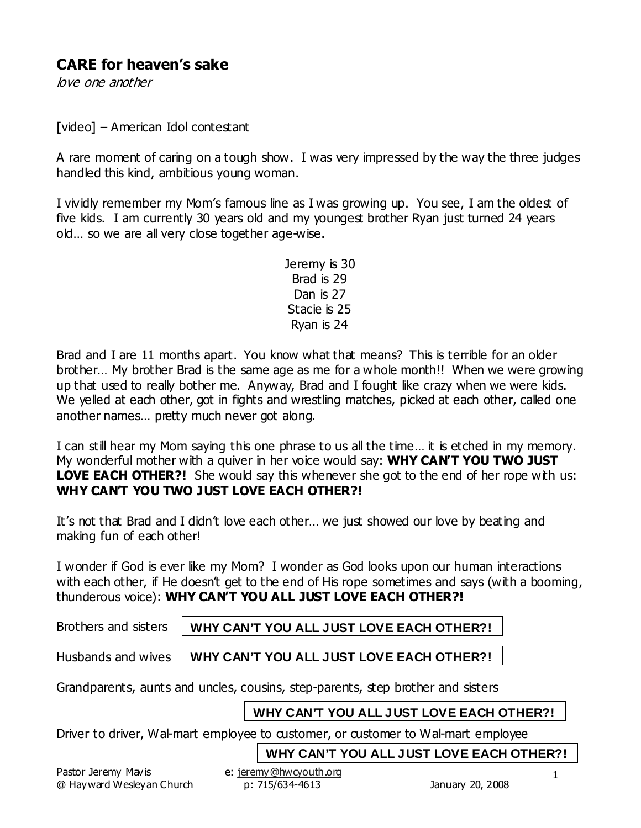# **CARE for heaven's sake**

love one another

[video] – American Idol contestant

A rare moment of caring on a tough show. I was very impressed by the way the three judges handled this kind, ambitious young woman.

I vividly remember my Mom's famous line as I was growing up. You see, I am the oldest of five kids. I am currently 30 years old and my youngest brother Ryan just turned 24 years old… so we are all very close together age-wise.

> Jeremy is 30 Brad is 29 Dan is 27 Stacie is 25 Ryan is 24

Brad and I are 11 months apart. You know what that means? This is terrible for an older brother… My brother Brad is the same age as me for a whole month!! When we were growing up that used to really bother me. Anyway, Brad and I fought like crazy when we were kids. We yelled at each other, got in fights and wrestling matches, picked at each other, called one another names… pretty much never got along.

I can still hear my Mom saying this one phrase to us all the time… it is etched in my memory. My wonderful mother with a quiver in her voice would say: **WHY CAN'T YOU TWO JUST LOVE EACH OTHER?!** She would say this whenever she got to the end of her rope with us: **WHY CAN'T YOU TWO JUST LOVE EACH OTHER?!**

It's not that Brad and I didn't love each other… we just showed our love by beating and making fun of each other!

I wonder if God is ever like my Mom? I wonder as God looks upon our human interactions with each other, if He doesn't get to the end of His rope sometimes and says (with a booming, thunderous voice): **WHY CAN'T YOU ALL JUST LOVE EACH OTHER?!** 

Brothers and sisters

**WHY CAN'T YOU ALL JUST LOVE EACH OTHER?!**

Husbands and wives

**WHY CAN'T YOU ALL JUST LOVE EACH OTHER?!**

Grandparents, aunts and uncles, cousins, step-parents, step brother and sisters

# **WHY CAN'T YOU ALL JUST LOVE EACH OTHER?!**

Driver to driver, Wal-mart employee to customer, or customer to Wal-mart employee

**WHY CAN'T YOU ALL JUST LOVE EACH OTHER?!**

Pastor Jeremy Mavis e: jeremy@hwcyouth.org @ Hayward Wesleyan Church p: 715/634-4613 January 20, 2008

1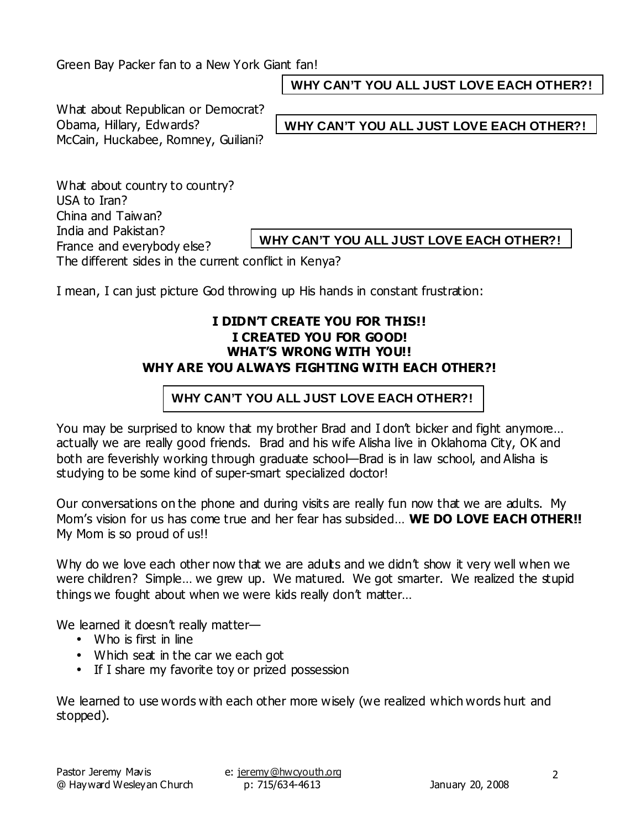Green Bay Packer fan to a New York Giant fan!

**WHY CAN'T YOU ALL JUST LOVE EACH OTHER?!**

What about Republican or Democrat? Obama, Hillary, Edwards? McCain, Huckabee, Romney, Guiliani?

**WHY CAN'T YOU ALL JUST LOVE EACH OTHER?!**

What about country to country? USA to Iran? China and Taiwan? India and Pakistan? France and everybody else? The different sides in the current conflict in Kenya?

**WHY CAN'T YOU ALL JUST LOVE EACH OTHER?!**

I mean, I can just picture God throwing up His hands in constant frustration:

#### **I DIDN'T CREATE YOU FOR THIS!! I CREATED YOU FOR GOOD! WHAT'S WRONG WITH YOU!! WHY ARE YOU ALWAYS FIGHTING WITH EACH OTHER?!**

## **WHY CAN'T YOU ALL JUST LOVE EACH OTHER?!**

You may be surprised to know that my brother Brad and I don't bicker and fight anymore… actually we are really good friends. Brad and his wife Alisha live in Oklahoma City, OK and both are feverishly working through graduate school—Brad is in law school, and Alisha is studying to be some kind of super-smart specialized doctor!

Our conversations on the phone and during visits are really fun now that we are adults. My Mom's vision for us has come true and her fear has subsided… **WE DO LOVE EACH OTHER!!** My Mom is so proud of us!!

Why do we love each other now that we are adults and we didn't show it very well when we were children? Simple... we grew up. We matured. We got smarter. We realized the stupid things we fought about when we were kids really don't matter…

We learned it doesn't really matter—

- Who is first in line
- Which seat in the car we each got
- If I share my favorite toy or prized possession

We learned to use words with each other more wisely (we realized which words hurt and stopped).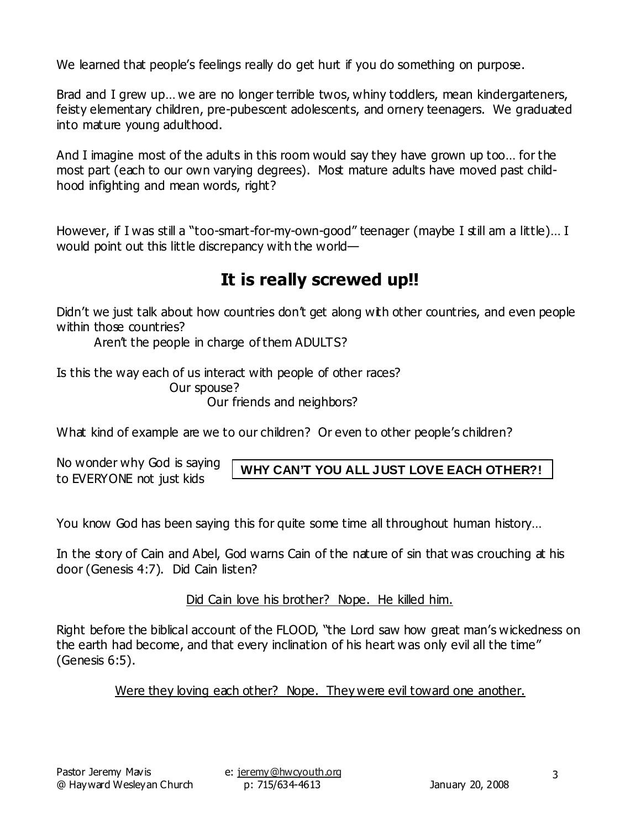We learned that people's feelings really do get hurt if you do something on purpose.

Brad and I grew up... we are no longer terrible twos, whiny toddlers, mean kindergarteners, feisty elementary children, pre-pubescent adolescents, and ornery teenagers. We graduated into mature young adulthood.

And I imagine most of the adults in this room would say they have grown up too… for the most part (each to our own varying degrees). Most mature adults have moved past childhood infighting and mean words, right?

However, if I was still a "too-smart-for-my-own-good" teenager (maybe I still am a little)... I would point out this little discrepancy with the world—

# **It is really screwed up!!**

Didn't we just talk about how countries don't get along with other countries, and even people within those countries?

Aren't the people in charge of them ADULTS?

Is this the way each of us interact with people of other races?

Our spouse?

Our friends and neighbors?

What kind of example are we to our children? Or even to other people's children?

No wonder why God is saying to EVERYONE not just kids

**WHY CAN'T YOU ALL JUST LOVE EACH OTHER?!**

You know God has been saying this for quite some time all throughout human history…

In the story of Cain and Abel, God warns Cain of the nature of sin that was crouching at his door (Genesis 4:7). Did Cain listen?

Did Cain love his brother? Nope. He killed him.

Right before the biblical account of the FLOOD, "the Lord saw how great man's wickedness on the earth had become, and that every inclination of his heart was only evil all the time" (Genesis 6:5).

Were they loving each other? Nope. They were evil toward one another.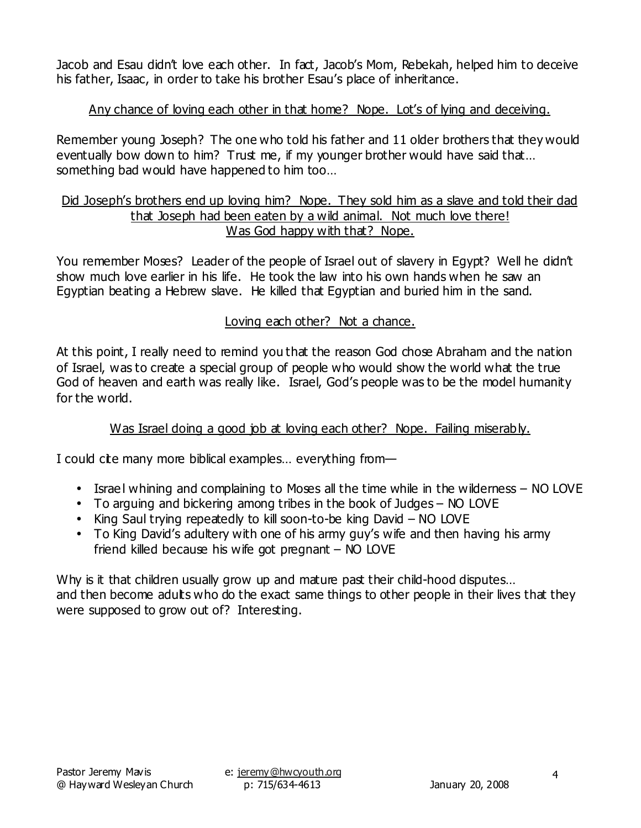Jacob and Esau didn't love each other. In fact, Jacob's Mom, Rebekah, helped him to deceive his father, Isaac, in order to take his brother Esau's place of inheritance.

# Any chance of loving each other in that home? Nope. Lot's of lying and deceiving.

Remember young Joseph? The one who told his father and 11 older brothers that they would eventually bow down to him? Trust me, if my younger brother would have said that... something bad would have happened to him too…

#### Did Joseph's brothers end up loving him? Nope. They sold him as a slave and told their dad that Joseph had been eaten by a wild animal. Not much love there! Was God happy with that? Nope.

You remember Moses? Leader of the people of Israel out of slavery in Egypt? Well he didn't show much love earlier in his life. He took the law into his own hands when he saw an Egyptian beating a Hebrew slave. He killed that Egyptian and buried him in the sand.

## Loving each other? Not a chance.

At this point, I really need to remind you that the reason God chose Abraham and the nation of Israel, was to create a special group of people who would show the world what the true God of heaven and earth was really like. Israel, God's people was to be the model humanity for the world.

#### Was Israel doing a good job at loving each other? Nope. Failing miserably.

I could cite many more biblical examples... everything from—

- Israel whining and complaining to Moses all the time while in the wilderness NO LOVE
- To arguing and bickering among tribes in the book of Judges NO LOVE
- King Saul trying repeatedly to kill soon-to-be king David NO LOVE
- To King David's adultery with one of his army guy's wife and then having his army friend killed because his wife got pregnant – NO LOVE

Why is it that children usually grow up and mature past their child-hood disputes... and then become adults who do the exact same things to other people in their lives that they were supposed to grow out of? Interesting.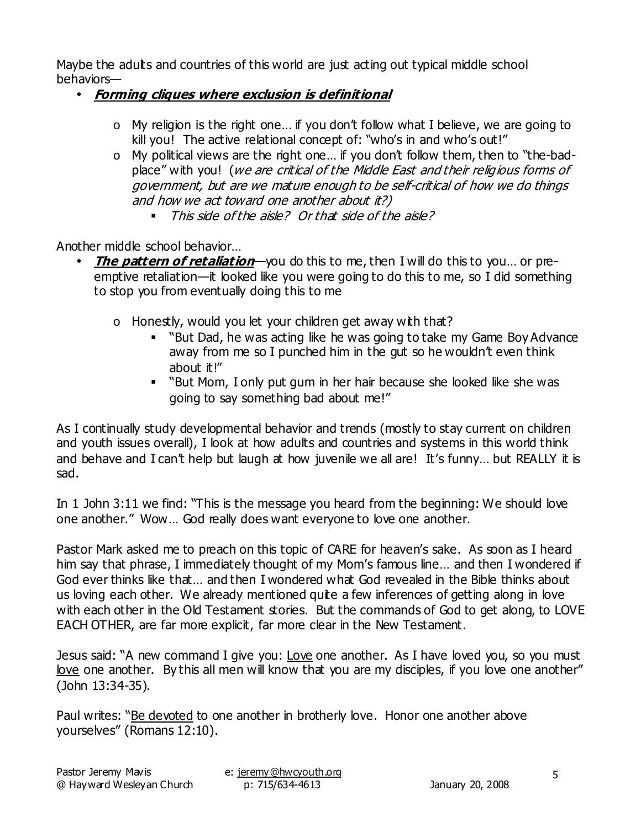Maybe the adults and countries of this world are just acting out typical middle school behaviors—

- **Forming cliques where exclusion is definitional**
	- $\circ$  My religion is the right one... if you don't follow what I believe, we are going to kill you! The active relational concept of: "who's in and who's out!"
	- o My political views are the right one… if you don't follow them, then to "the-badplace" with you! (we are critical of the Middle East and their religious forms of government, but are we mature enough to be self-critical of how we do things and how we act toward one another about it?)
		- This side of the aisle? Or that side of the aisle?

Another middle school behavior…

- **The pattern of retaliation**—you do this to me, then I will do this to you… or preemptive retaliation—it looked like you were going to do this to me, so I did something to stop you from eventually doing this to me
	- $\circ$  Honestly, would you let your children get away with that?
		- "But Dad, he was acting like he was going to take my Game Boy Advance away from me so I punched him in the gut so he wouldn't even think about it!"
		- "But Mom, I only put gum in her hair because she looked like she was going to say something bad about me!"

As I continually study developmental behavior and trends (mostly to stay current on children and youth issues overall), I look at how adults and countries and systems in this world think and behave and I can't help but laugh at how juvenile we all are! It's funny... but REALLY it is sad.

In 1 John 3:11 we find: "This is the message you heard from the beginning: We should love one another." Wow… God really does want everyone to love one another.

Pastor Mark asked me to preach on this topic of CARE for heaven's sake. As soon as I heard him say that phrase, I immediately thought of my Mom's famous line… and then I wondered if God ever thinks like that… and then I wondered what God revealed in the Bible thinks about us loving each other. We already mentioned quite a few inferences of getting along in love with each other in the Old Testament stories. But the commands of God to get along, to LOVE EACH OTHER, are far more explicit, far more clear in the New Testament.

Jesus said: "A new command I give you: Love one another. As I have loved you, so you must love one another. By this all men will know that you are my disciples, if you love one another" (John 13:34-35).

Paul writes: "Be devoted to one another in brotherly love. Honor one another above yourselves" (Romans 12:10).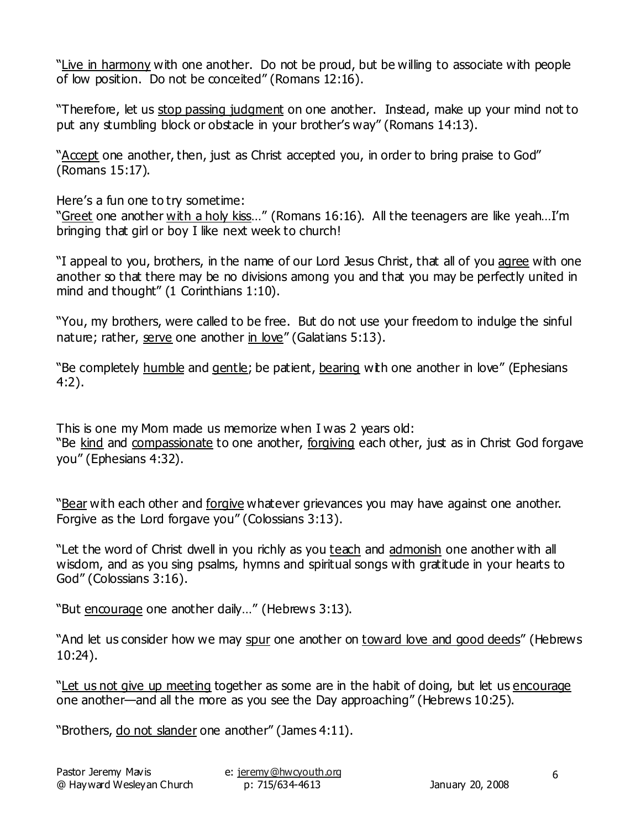"Live in harmony with one another. Do not be proud, but be willing to associate with people of low position. Do not be conceited" (Romans 12:16).

"Therefore, let us stop passing judgment on one another. Instead, make up your mind not to put any stumbling block or obstacle in your brother's way" (Romans 14:13).

"Accept one another, then, just as Christ accepted you, in order to bring praise to God" (Romans 15:17).

Here's a fun one to try sometime:

"Greet one another with a holy kiss..." (Romans 16:16). All the teenagers are like yeah...I'm bringing that girl or boy I like next week to church!

"I appeal to you, brothers, in the name of our Lord Jesus Christ, that all of you agree with one another so that there may be no divisions among you and that you may be perfectly united in mind and thought" (1 Corinthians 1:10).

"You, my brothers, were called to be free. But do not use your freedom to indulge the sinful nature; rather, serve one another in love" (Galatians 5:13).

"Be completely humble and gentle; be patient, bearing with one another in love" (Ephesians 4:2).

This is one my Mom made us memorize when I was 2 years old: "Be kind and compassionate to one another, forgiving each other, just as in Christ God forgave you" (Ephesians 4:32).

"Bear with each other and forgive whatever grievances you may have against one another. Forgive as the Lord forgave you" (Colossians 3:13).

"Let the word of Christ dwell in you richly as you teach and admonish one another with all wisdom, and as you sing psalms, hymns and spiritual songs with gratitude in your hearts to God" (Colossians 3:16).

"But encourage one another daily…" (Hebrews 3:13).

"And let us consider how we may spur one another on toward love and good deeds" (Hebrews 10:24).

"Let us not give up meeting together as some are in the habit of doing, but let us encourage one another—and all the more as you see the Day approaching" (Hebrews 10:25).

"Brothers, do not slander one another" (James 4:11).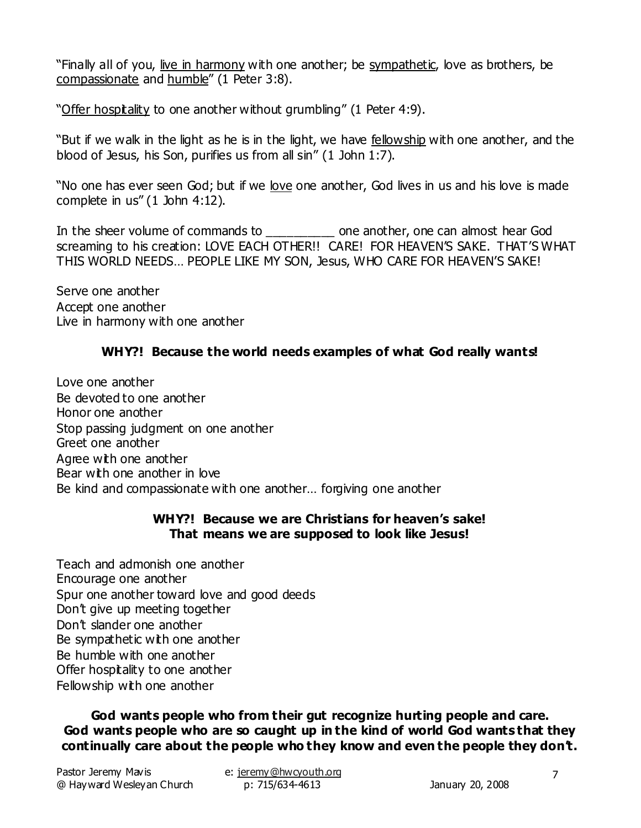"Finally all of you, live in harmony with one another; be sympathetic, love as brothers, be compassionate and humble" (1 Peter 3:8).

"Offer hospitality to one another without grumbling" (1 Peter 4:9).

"But if we walk in the light as he is in the light, we have fellowship with one another, and the blood of Jesus, his Son, purifies us from all sin" (1 John 1:7).

"No one has ever seen God; but if we love one another, God lives in us and his love is made complete in us" (1 John 4:12).

In the sheer volume of commands to \_\_\_\_\_\_\_\_\_\_ one another, one can almost hear God screaming to his creation: LOVE EACH OTHER!! CARE! FOR HEAVEN'S SAKE. THAT'S WHAT THIS WORLD NEEDS… PEOPLE LIKE MY SON, Jesus, WHO CARE FOR HEAVEN'S SAKE!

Serve one another Accept one another Live in harmony with one another

# **WHY?! Because the world needs examples of what God really wants!**

Love one another Be devoted to one another Honor one another Stop passing judgment on one another Greet one another Agree with one another Bear with one another in love Be kind and compassionate with one another… forgiving one another

#### **WHY?! Because we are Christians for heaven's sake! That means we are supposed to look like Jesus!**

Teach and admonish one another Encourage one another Spur one another toward love and good deeds Don't give up meeting together Don't slander one another Be sympathetic with one another Be humble with one another Offer hospitality to one another Fellowship with one another

**God wants people who from their gut recognize hurting people and care. God wants people who are so caught up in the kind of world God wants that they continually care about the people who they know and even the people they don't.**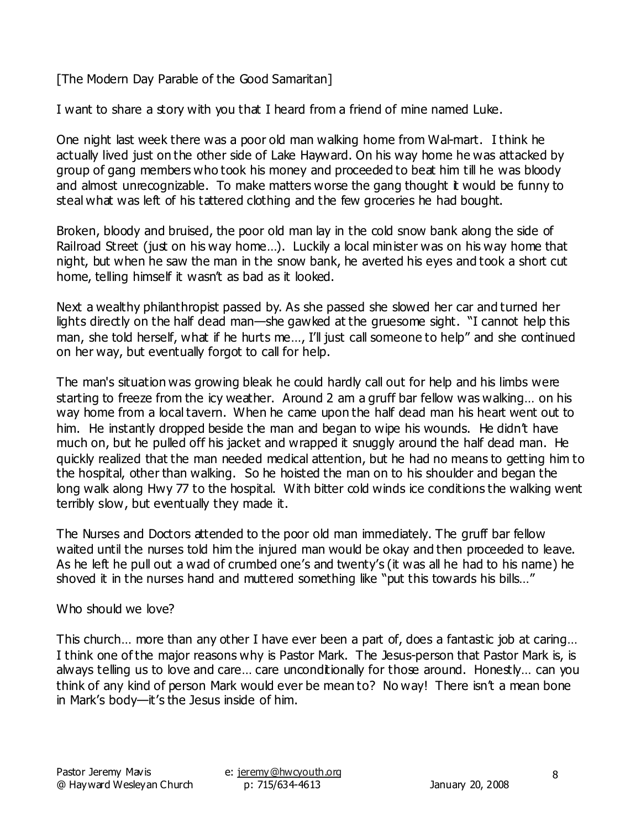[The Modern Day Parable of the Good Samaritan]

I want to share a story with you that I heard from a friend of mine named Luke.

One night last week there was a poor old man walking home from Wal-mart. I think he actually lived just on the other side of Lake Hayward. On his way home he was attacked by group of gang members who took his money and proceeded to beat him till he was bloody and almost unrecognizable. To make matters worse the gang thought it would be funny to steal what was left of his tattered clothing and the few groceries he had bought.

Broken, bloody and bruised, the poor old man lay in the cold snow bank along the side of Railroad Street (just on his way home...). Luckily a local minister was on his way home that night, but when he saw the man in the snow bank, he averted his eyes and took a short cut home, telling himself it wasn't as bad as it looked.

Next a wealthy philanthropist passed by. As she passed she slowed her car and turned her lights directly on the half dead man—she gawked at the gruesome sight. "I cannot help this man, she told herself, what if he hurts me..., I'll just call someone to help" and she continued on her way, but eventually forgot to call for help.

The man's situation was growing bleak he could hardly call out for help and his limbs were starting to freeze from the icy weather. Around 2 am a gruff bar fellow was walking… on his way home from a local tavern. When he came upon the half dead man his heart went out to him. He instantly dropped beside the man and began to wipe his wounds. He didn't have much on, but he pulled off his jacket and wrapped it snuggly around the half dead man. He quickly realized that the man needed medical attention, but he had no means to getting him to the hospital, other than walking. So he hoisted the man on to his shoulder and began the long walk along Hwy 77 to the hospital. With bitter cold winds ice conditions the walking went terribly slow, but eventually they made it.

The Nurses and Doctors attended to the poor old man immediately. The gruff bar fellow waited until the nurses told him the injured man would be okay and then proceeded to leave. As he left he pull out a wad of crumbed one's and twenty's (it was all he had to his name) he shoved it in the nurses hand and muttered something like "put this towards his bills..."

#### Who should we love?

This church… more than any other I have ever been a part of, does a fantastic job at caring… I think one of the major reasons why is Pastor Mark. The Jesus-person that Pastor Mark is, is always telling us to love and care... care unconditionally for those around. Honestly... can you think of any kind of person Mark would ever be mean to? No way! There isn't a mean bone in Mark's body—it's the Jesus inside of him.